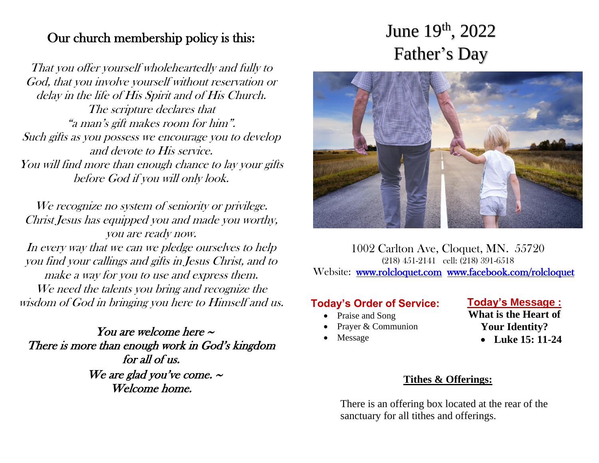## Our church membership policy is this:

That you offer yourself wholeheartedly and fully to God, that you involve yourself without reservation or delay in the life of His Spirit and of His Church. The scripture declares that "a man's gift makes room for him". Such gifts as you possess we encourage you to develop and devote to His service. You will find more than enough chance to lay your gifts before God if you will only look.

We recognize no system of seniority or privilege. Christ Jesus has equipped you and made you worthy, you are ready now. In every way that we can we pledge ourselves to help you find your callings and gifts in Jesus Christ, and to make a way for you to use and express them. We need the talents you bring and recognize the wisdom of God in bringing you here to Himself and us.

You are welcome here  $\sim$ There is more than enough work in God's kingdom for all of us. We are glad you've come.  $\sim$ Welcome home.

# June 19<sup>th</sup>, 2022 Father's Day



1002 Carlton Ave, Cloquet, MN. 55720 (218) 451-2141 cell: (218) 391-6518 Website: [www.rolcloquet.com](http://www.rolcloquet.com/) [www.facebook.com/rolcloquet](http://www.facebook.com/rolcloquet) 

# **Today's Order of Service:**

- Praise and Song
- Prayer & Communion
- **Message**

**Today's Message : What is the Heart of** 

- **Your Identity?**
	- **Luke 15: 11-24**

#### **Tithes & Offerings:**

There is an offering box located at the rear of the sanctuary for all tithes and offerings.